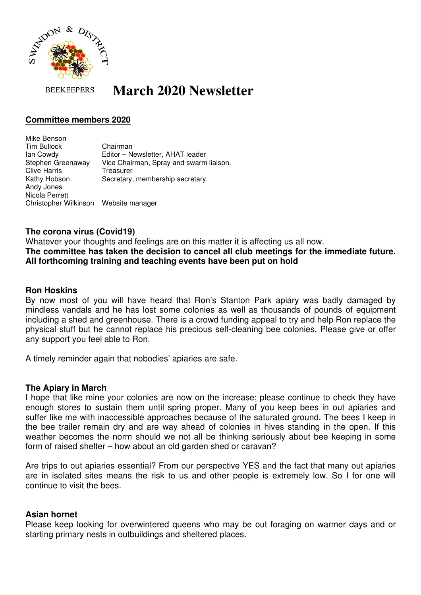

**BEEKEEPERS** 

# **March 2020 Newsletter**

# **Committee members 2020**

Mike Benson Tim Bullock Chairman Ian Cowdy Editor – Newsletter, AHAT leader Stephen Greenaway Vice Chairman, Spray and swarm liaison. Clive Harris Treasurer Kathy Hobson Secretary, membership secretary. Andy Jones Nicola Perrett Christopher Wilkinson Website manager

## **The corona virus (Covid19)**

Whatever your thoughts and feelings are on this matter it is affecting us all now. **The committee has taken the decision to cancel all club meetings for the immediate future. All forthcoming training and teaching events have been put on hold** 

## **Ron Hoskins**

By now most of you will have heard that Ron's Stanton Park apiary was badly damaged by mindless vandals and he has lost some colonies as well as thousands of pounds of equipment including a shed and greenhouse. There is a crowd funding appeal to try and help Ron replace the physical stuff but he cannot replace his precious self-cleaning bee colonies. Please give or offer any support you feel able to Ron.

A timely reminder again that nobodies' apiaries are safe.

#### **The Apiary in March**

I hope that like mine your colonies are now on the increase; please continue to check they have enough stores to sustain them until spring proper. Many of you keep bees in out apiaries and suffer like me with inaccessible approaches because of the saturated ground. The bees I keep in the bee trailer remain dry and are way ahead of colonies in hives standing in the open. If this weather becomes the norm should we not all be thinking seriously about bee keeping in some form of raised shelter – how about an old garden shed or caravan?

Are trips to out apiaries essential? From our perspective YES and the fact that many out apiaries are in isolated sites means the risk to us and other people is extremely low. So I for one will continue to visit the bees.

#### **Asian hornet**

Please keep looking for overwintered queens who may be out foraging on warmer days and or starting primary nests in outbuildings and sheltered places.